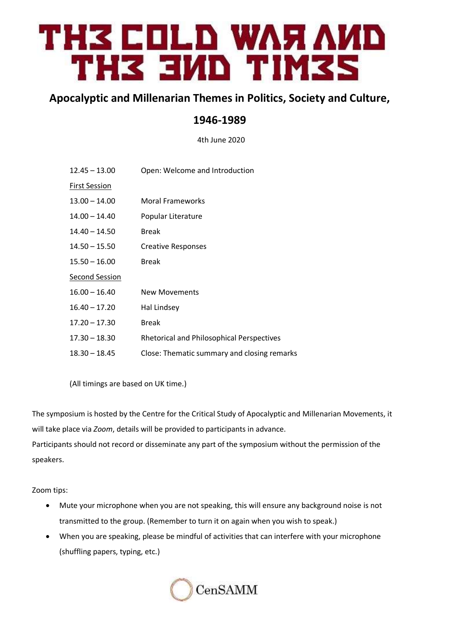# TH3 COLD WAЯ AИD THZ EMD TIMZS

## **Apocalyptic and Millenarian Themes in Politics, Society and Culture,**

# **1946-1989**

4th June 2020

| $12.45 - 13.00$       | Open: Welcome and Introduction                   |
|-----------------------|--------------------------------------------------|
| <b>First Session</b>  |                                                  |
| $13.00 - 14.00$       | <b>Moral Frameworks</b>                          |
| $14.00 - 14.40$       | Popular Literature                               |
| $14.40 - 14.50$       | <b>Break</b>                                     |
| $14.50 - 15.50$       | Creative Responses                               |
| $15.50 - 16.00$       | <b>Break</b>                                     |
| <b>Second Session</b> |                                                  |
| $16.00 - 16.40$       | <b>New Movements</b>                             |
| $16.40 - 17.20$       | Hal Lindsey                                      |
| $17.20 - 17.30$       | <b>Break</b>                                     |
| $17.30 - 18.30$       | <b>Rhetorical and Philosophical Perspectives</b> |
| $18.30 - 18.45$       | Close: Thematic summary and closing remarks      |
|                       |                                                  |

(All timings are based on UK time.)

The symposium is hosted by the Centre for the Critical Study of Apocalyptic and Millenarian Movements, it will take place via *Zoom*, details will be provided to participants in advance. Participants should not record or disseminate any part of the symposium without the permission of the speakers.

Zoom tips:

- Mute your microphone when you are not speaking, this will ensure any background noise is not transmitted to the group. (Remember to turn it on again when you wish to speak.)
- When you are speaking, please be mindful of activities that can interfere with your microphone (shuffling papers, typing, etc.)

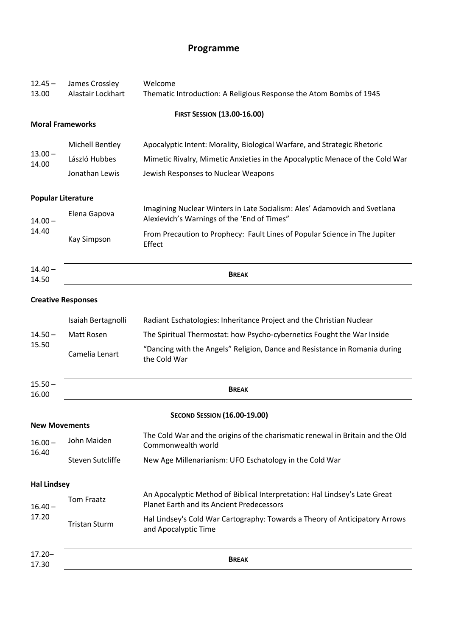# **Programme**

| $12.45 -$<br>13.00   | James Crossley<br>Alastair Lockhart | Welcome<br>Thematic Introduction: A Religious Response the Atom Bombs of 1945                                                  |  |
|----------------------|-------------------------------------|--------------------------------------------------------------------------------------------------------------------------------|--|
|                      |                                     | <b>FIRST SESSION (13.00-16.00)</b>                                                                                             |  |
|                      | <b>Moral Frameworks</b>             |                                                                                                                                |  |
| $13.00 -$<br>14.00   | <b>Michell Bentley</b>              | Apocalyptic Intent: Morality, Biological Warfare, and Strategic Rhetoric                                                       |  |
|                      | László Hubbes                       | Mimetic Rivalry, Mimetic Anxieties in the Apocalyptic Menace of the Cold War                                                   |  |
|                      | Jonathan Lewis                      | Jewish Responses to Nuclear Weapons                                                                                            |  |
|                      | <b>Popular Literature</b>           |                                                                                                                                |  |
| $14.00 -$<br>14.40   | Elena Gapova                        | Imagining Nuclear Winters in Late Socialism: Ales' Adamovich and Svetlana<br>Alexievich's Warnings of the 'End of Times"       |  |
|                      | <b>Kay Simpson</b>                  | From Precaution to Prophecy: Fault Lines of Popular Science in The Jupiter<br>Effect                                           |  |
| $14.40 -$<br>14.50   | <b>BREAK</b>                        |                                                                                                                                |  |
|                      | <b>Creative Responses</b>           |                                                                                                                                |  |
| $14.50 -$<br>15.50   | Isaiah Bertagnolli                  | Radiant Eschatologies: Inheritance Project and the Christian Nuclear                                                           |  |
|                      | Matt Rosen                          | The Spiritual Thermostat: how Psycho-cybernetics Fought the War Inside                                                         |  |
|                      | Camelia Lenart                      | "Dancing with the Angels" Religion, Dance and Resistance in Romania during<br>the Cold War                                     |  |
| $15.50 -$<br>16.00   |                                     | <b>BREAK</b>                                                                                                                   |  |
| <b>New Movements</b> |                                     | <b>SECOND SESSION (16.00-19.00)</b>                                                                                            |  |
| $16.00 -$<br>16.40   | John Maiden                         | The Cold War and the origins of the charismatic renewal in Britain and the Old<br>Commonwealth world                           |  |
|                      | <b>Steven Sutcliffe</b>             | New Age Millenarianism: UFO Eschatology in the Cold War                                                                        |  |
| <b>Hal Lindsey</b>   |                                     |                                                                                                                                |  |
| $16.40 -$<br>17.20   | <b>Tom Fraatz</b>                   | An Apocalyptic Method of Biblical Interpretation: Hal Lindsey's Late Great<br><b>Planet Earth and its Ancient Predecessors</b> |  |
|                      | <b>Tristan Sturm</b>                | Hal Lindsey's Cold War Cartography: Towards a Theory of Anticipatory Arrows<br>and Apocalyptic Time                            |  |
| $17.20 -$<br>17.30   |                                     | <b>BREAK</b>                                                                                                                   |  |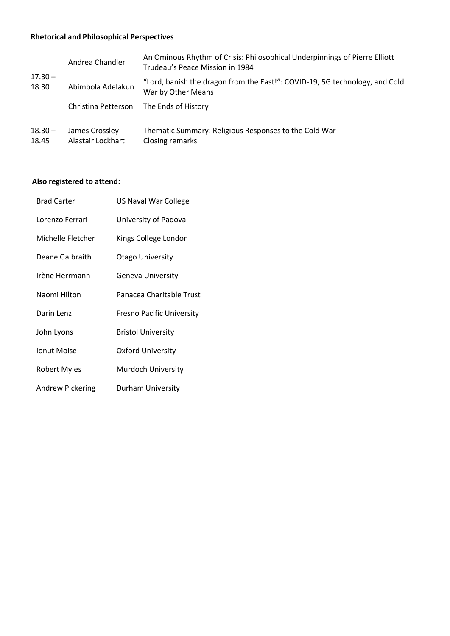## **Rhetorical and Philosophical Perspectives**

|                    | Andrea Chandler                     | An Ominous Rhythm of Crisis: Philosophical Underpinnings of Pierre Elliott<br>Trudeau's Peace Mission in 1984 |
|--------------------|-------------------------------------|---------------------------------------------------------------------------------------------------------------|
| $17.30 -$<br>18.30 | Abimbola Adelakun                   | "Lord, banish the dragon from the East!": COVID-19, 5G technology, and Cold<br>War by Other Means             |
|                    | Christina Petterson                 | The Ends of History                                                                                           |
| $18.30 -$<br>18.45 | James Crossley<br>Alastair Lockhart | Thematic Summary: Religious Responses to the Cold War<br>Closing remarks                                      |

## **Also registered to attend:**

| <b>Brad Carter</b>  | US Naval War College             |
|---------------------|----------------------------------|
| Lorenzo Ferrari     | University of Padova             |
| Michelle Fletcher   | Kings College London             |
| Deane Galbraith     | <b>Otago University</b>          |
| Irène Herrmann      | Geneva University                |
| Naomi Hilton        | Panacea Charitable Trust         |
| Darin Lenz          | <b>Fresno Pacific University</b> |
| John Lyons          | <b>Bristol University</b>        |
| <b>Ionut Moise</b>  | <b>Oxford University</b>         |
| <b>Robert Myles</b> | Murdoch University               |
| Andrew Pickering    | <b>Durham University</b>         |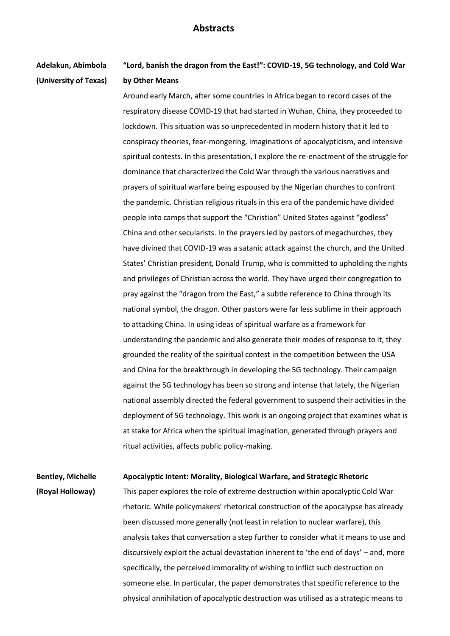## **Abstracts**

**Adelakun, Abimbola (University of Texas)**  **"Lord, banish the dragon from the East!": COVID-19, 5G technology, and Cold War by Other Means**

Around early March, after some countries in Africa began to record cases of the respiratory disease COVID-19 that had started in Wuhan, China, they proceeded to lockdown. This situation was so unprecedented in modern history that it led to conspiracy theories, fear-mongering, imaginations of apocalypticism, and intensive spiritual contests. In this presentation, I explore the re-enactment of the struggle for dominance that characterized the Cold War through the various narratives and prayers of spiritual warfare being espoused by the Nigerian churches to confront the pandemic. Christian religious rituals in this era of the pandemic have divided people into camps that support the "Christian" United States against "godless" China and other secularists. In the prayers led by pastors of megachurches, they have divined that COVID-19 was a satanic attack against the church, and the United States' Christian president, Donald Trump, who is committed to upholding the rights and privileges of Christian across the world. They have urged their congregation to pray against the "dragon from the East," a subtle reference to China through its national symbol, the dragon. Other pastors were far less sublime in their approach to attacking China. In using ideas of spiritual warfare as a framework for understanding the pandemic and also generate their modes of response to it, they grounded the reality of the spiritual contest in the competition between the USA and China for the breakthrough in developing the 5G technology. Their campaign against the 5G technology has been so strong and intense that lately, the Nigerian national assembly directed the federal government to suspend their activities in the deployment of 5G technology. This work is an ongoing project that examines what is at stake for Africa when the spiritual imagination, generated through prayers and ritual activities, affects public policy-making.

**Bentley, Michelle Apocalyptic Intent: Morality, Biological Warfare, and Strategic Rhetoric**

**(Royal Holloway)**

This paper explores the role of extreme destruction within apocalyptic Cold War rhetoric. While policymakers' rhetorical construction of the apocalypse has already been discussed more generally (not least in relation to nuclear warfare), this analysis takes that conversation a step further to consider what it means to use and discursively exploit the actual devastation inherent to 'the end of days' – and, more specifically, the perceived immorality of wishing to inflict such destruction on someone else. In particular, the paper demonstrates that specific reference to the physical annihilation of apocalyptic destruction was utilised as a strategic means to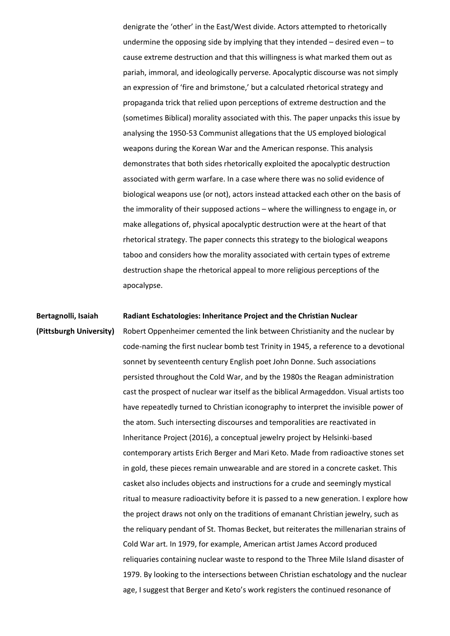denigrate the 'other' in the East/West divide. Actors attempted to rhetorically undermine the opposing side by implying that they intended – desired even – to cause extreme destruction and that this willingness is what marked them out as pariah, immoral, and ideologically perverse. Apocalyptic discourse was not simply an expression of 'fire and brimstone,' but a calculated rhetorical strategy and propaganda trick that relied upon perceptions of extreme destruction and the (sometimes Biblical) morality associated with this. The paper unpacks this issue by analysing the 1950-53 Communist allegations that the US employed biological weapons during the Korean War and the American response. This analysis demonstrates that both sides rhetorically exploited the apocalyptic destruction associated with germ warfare. In a case where there was no solid evidence of biological weapons use (or not), actors instead attacked each other on the basis of the immorality of their supposed actions – where the willingness to engage in, or make allegations of, physical apocalyptic destruction were at the heart of that rhetorical strategy. The paper connects this strategy to the biological weapons taboo and considers how the morality associated with certain types of extreme destruction shape the rhetorical appeal to more religious perceptions of the apocalypse.

#### **Bertagnolli, Isaiah Radiant Eschatologies: Inheritance Project and the Christian Nuclear**

## **(Pittsburgh University)**

Robert Oppenheimer cemented the link between Christianity and the nuclear by code-naming the first nuclear bomb test Trinity in 1945, a reference to a devotional sonnet by seventeenth century English poet John Donne. Such associations persisted throughout the Cold War, and by the 1980s the Reagan administration cast the prospect of nuclear war itself as the biblical Armageddon. Visual artists too have repeatedly turned to Christian iconography to interpret the invisible power of the atom. Such intersecting discourses and temporalities are reactivated in Inheritance Project (2016), a conceptual jewelry project by Helsinki-based contemporary artists Erich Berger and Mari Keto. Made from radioactive stones set in gold, these pieces remain unwearable and are stored in a concrete casket. This casket also includes objects and instructions for a crude and seemingly mystical ritual to measure radioactivity before it is passed to a new generation. I explore how the project draws not only on the traditions of emanant Christian jewelry, such as the reliquary pendant of St. Thomas Becket, but reiterates the millenarian strains of Cold War art. In 1979, for example, American artist James Accord produced reliquaries containing nuclear waste to respond to the Three Mile Island disaster of 1979. By looking to the intersections between Christian eschatology and the nuclear age, I suggest that Berger and Keto's work registers the continued resonance of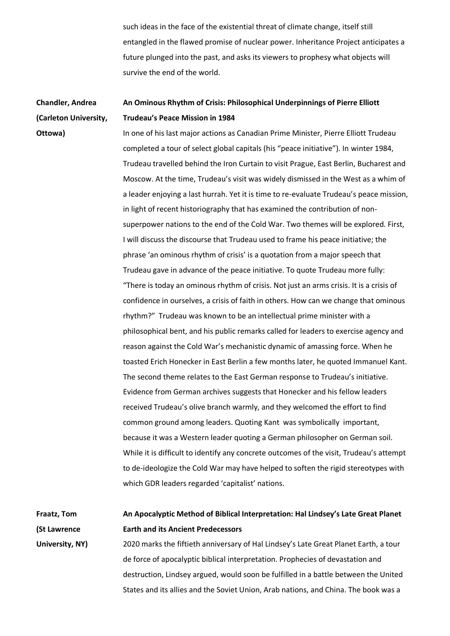such ideas in the face of the existential threat of climate change, itself still entangled in the flawed promise of nuclear power. Inheritance Project anticipates a future plunged into the past, and asks its viewers to prophesy what objects will survive the end of the world.

#### **Chandler, Andrea (Carleton University, An Ominous Rhythm of Crisis: Philosophical Underpinnings of Pierre Elliott Trudeau's Peace Mission in 1984**

**Ottowa)**

In one of his last major actions as Canadian Prime Minister, Pierre Elliott Trudeau completed a tour of select global capitals (his "peace initiative"). In winter 1984, Trudeau travelled behind the Iron Curtain to visit Prague, East Berlin, Bucharest and Moscow. At the time, Trudeau's visit was widely dismissed in the West as a whim of a leader enjoying a last hurrah. Yet it is time to re-evaluate Trudeau's peace mission, in light of recent historiography that has examined the contribution of nonsuperpower nations to the end of the Cold War. Two themes will be explored. First, I will discuss the discourse that Trudeau used to frame his peace initiative; the phrase 'an ominous rhythm of crisis' is a quotation from a major speech that Trudeau gave in advance of the peace initiative. To quote Trudeau more fully: "There is today an ominous rhythm of crisis. Not just an arms crisis. It is a crisis of confidence in ourselves, a crisis of faith in others. How can we change that ominous rhythm?" Trudeau was known to be an intellectual prime minister with a philosophical bent, and his public remarks called for leaders to exercise agency and reason against the Cold War's mechanistic dynamic of amassing force. When he toasted Erich Honecker in East Berlin a few months later, he quoted Immanuel Kant. The second theme relates to the East German response to Trudeau's initiative. Evidence from German archives suggests that Honecker and his fellow leaders received Trudeau's olive branch warmly, and they welcomed the effort to find common ground among leaders. Quoting Kant was symbolically important, because it was a Western leader quoting a German philosopher on German soil. While it is difficult to identify any concrete outcomes of the visit, Trudeau's attempt to de-ideologize the Cold War may have helped to soften the rigid stereotypes with which GDR leaders regarded 'capitalist' nations.

### **Fraatz, Tom (St Lawrence University, NY) An Apocalyptic Method of Biblical Interpretation: Hal Lindsey's Late Great Planet Earth and its Ancient Predecessors** 2020 marks the fiftieth anniversary of Hal Lindsey's Late Great Planet Earth, a tour

de force of apocalyptic biblical interpretation. Prophecies of devastation and destruction, Lindsey argued, would soon be fulfilled in a battle between the United States and its allies and the Soviet Union, Arab nations, and China. The book was a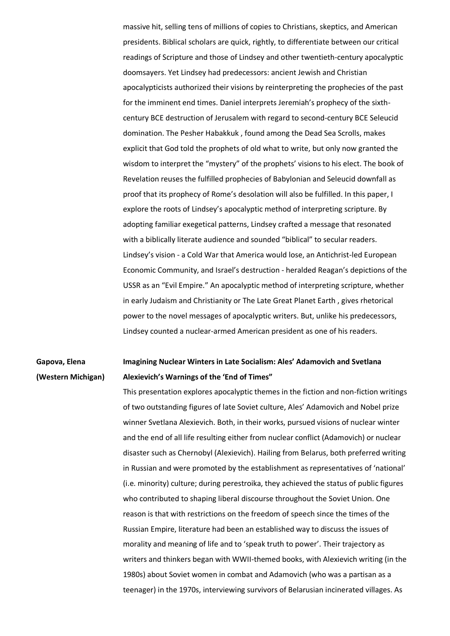massive hit, selling tens of millions of copies to Christians, skeptics, and American presidents. Biblical scholars are quick, rightly, to differentiate between our critical readings of Scripture and those of Lindsey and other twentieth-century apocalyptic doomsayers. Yet Lindsey had predecessors: ancient Jewish and Christian apocalypticists authorized their visions by reinterpreting the prophecies of the past for the imminent end times. Daniel interprets Jeremiah's prophecy of the sixthcentury BCE destruction of Jerusalem with regard to second-century BCE Seleucid domination. The Pesher Habakkuk , found among the Dead Sea Scrolls, makes explicit that God told the prophets of old what to write, but only now granted the wisdom to interpret the "mystery" of the prophets' visions to his elect. The book of Revelation reuses the fulfilled prophecies of Babylonian and Seleucid downfall as proof that its prophecy of Rome's desolation will also be fulfilled. In this paper, I explore the roots of Lindsey's apocalyptic method of interpreting scripture. By adopting familiar exegetical patterns, Lindsey crafted a message that resonated with a biblically literate audience and sounded "biblical" to secular readers. Lindsey's vision - a Cold War that America would lose, an Antichrist-led European Economic Community, and Israel's destruction - heralded Reagan's depictions of the USSR as an "Evil Empire." An apocalyptic method of interpreting scripture, whether in early Judaism and Christianity or The Late Great Planet Earth , gives rhetorical power to the novel messages of apocalyptic writers. But, unlike his predecessors, Lindsey counted a nuclear-armed American president as one of his readers.

#### **Gapova, Elena (Western Michigan) Imagining Nuclear Winters in Late Socialism: Ales' Adamovich and Svetlana Alexievich's Warnings of the 'End of Times"**

This presentation explores apocalyptic themes in the fiction and non-fiction writings of two outstanding figures of late Soviet culture, Ales' Adamovich and Nobel prize winner Svetlana Alexievich. Both, in their works, pursued visions of nuclear winter and the end of all life resulting either from nuclear conflict (Adamovich) or nuclear disaster such as Chernobyl (Alexievich). Hailing from Belarus, both preferred writing in Russian and were promoted by the establishment as representatives of 'national' (i.e. minority) culture; during perestroika, they achieved the status of public figures who contributed to shaping liberal discourse throughout the Soviet Union. One reason is that with restrictions on the freedom of speech since the times of the Russian Empire, literature had been an established way to discuss the issues of morality and meaning of life and to 'speak truth to power'. Their trajectory as writers and thinkers began with WWII-themed books, with Alexievich writing (in the 1980s) about Soviet women in combat and Adamovich (who was a partisan as a teenager) in the 1970s, interviewing survivors of Belarusian incinerated villages. As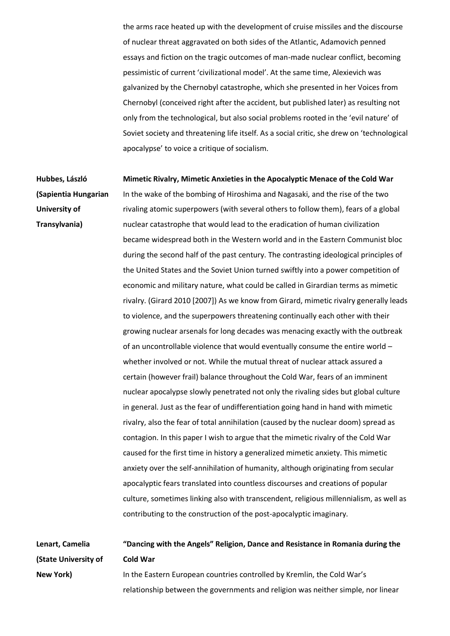the arms race heated up with the development of cruise missiles and the discourse of nuclear threat aggravated on both sides of the Atlantic, Adamovich penned essays and fiction on the tragic outcomes of man-made nuclear conflict, becoming pessimistic of current 'civilizational model'. At the same time, Alexievich was galvanized by the Chernobyl catastrophe, which she presented in her Voices from Chernobyl (conceived right after the accident, but published later) as resulting not only from the technological, but also social problems rooted in the 'evil nature' of Soviet society and threatening life itself. As a social critic, she drew on 'technological apocalypse' to voice a critique of socialism.

**Hubbes, László (Sapientia Hungarian University of Transylvania) Mimetic Rivalry, Mimetic Anxieties in the Apocalyptic Menace of the Cold War** In the wake of the bombing of Hiroshima and Nagasaki, and the rise of the two rivaling atomic superpowers (with several others to follow them), fears of a global nuclear catastrophe that would lead to the eradication of human civilization became widespread both in the Western world and in the Eastern Communist bloc during the second half of the past century. The contrasting ideological principles of the United States and the Soviet Union turned swiftly into a power competition of economic and military nature, what could be called in Girardian terms as mimetic rivalry. (Girard 2010 [2007]) As we know from Girard, mimetic rivalry generally leads to violence, and the superpowers threatening continually each other with their growing nuclear arsenals for long decades was menacing exactly with the outbreak of an uncontrollable violence that would eventually consume the entire world – whether involved or not. While the mutual threat of nuclear attack assured a certain (however frail) balance throughout the Cold War, fears of an imminent nuclear apocalypse slowly penetrated not only the rivaling sides but global culture in general. Just as the fear of undifferentiation going hand in hand with mimetic rivalry, also the fear of total annihilation (caused by the nuclear doom) spread as contagion. In this paper I wish to argue that the mimetic rivalry of the Cold War caused for the first time in history a generalized mimetic anxiety. This mimetic anxiety over the self-annihilation of humanity, although originating from secular apocalyptic fears translated into countless discourses and creations of popular culture, sometimes linking also with transcendent, religious millennialism, as well as contributing to the construction of the post-apocalyptic imaginary.

**Lenart, Camelia (State University of New York) "Dancing with the Angels" Religion, Dance and Resistance in Romania during the Cold War** In the Eastern European countries controlled by Kremlin, the Cold War's relationship between the governments and religion was neither simple, nor linear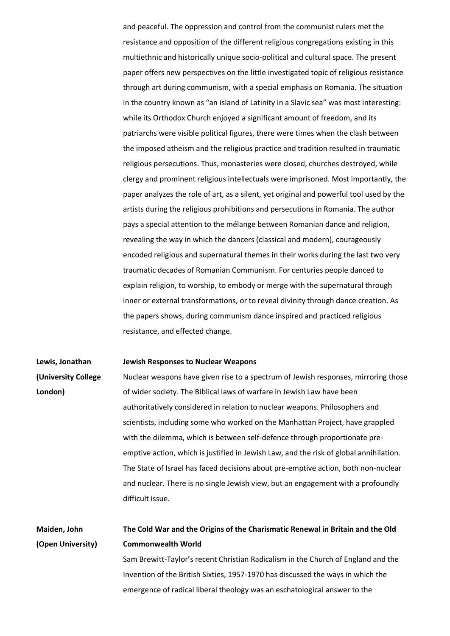and peaceful. The oppression and control from the communist rulers met the resistance and opposition of the different religious congregations existing in this multiethnic and historically unique socio-political and cultural space. The present paper offers new perspectives on the little investigated topic of religious resistance through art during communism, with a special emphasis on Romania. The situation in the country known as "an island of Latinity in a Slavic sea" was most interesting: while its Orthodox Church enjoyed a significant amount of freedom, and its patriarchs were visible political figures, there were times when the clash between the imposed atheism and the religious practice and tradition resulted in traumatic religious persecutions. Thus, monasteries were closed, churches destroyed, while clergy and prominent religious intellectuals were imprisoned. Most importantly, the paper analyzes the role of art, as a silent, yet original and powerful tool used by the artists during the religious prohibitions and persecutions in Romania. The author pays a special attention to the mélange between Romanian dance and religion, revealing the way in which the dancers (classical and modern), courageously encoded religious and supernatural themes in their works during the last two very traumatic decades of Romanian Communism. For centuries people danced to explain religion, to worship, to embody or merge with the supernatural through inner or external transformations, or to reveal divinity through dance creation. As the papers shows, during communism dance inspired and practiced religious resistance, and effected change.

#### **Lewis, Jonathan Jewish Responses to Nuclear Weapons**

**(University College London)** Nuclear weapons have given rise to a spectrum of Jewish responses, mirroring those of wider society. The Biblical laws of warfare in Jewish Law have been authoritatively considered in relation to nuclear weapons. Philosophers and scientists, including some who worked on the Manhattan Project, have grappled with the dilemma, which is between self-defence through proportionate preemptive action, which is justified in Jewish Law, and the risk of global annihilation. The State of Israel has faced decisions about pre-emptive action, both non-nuclear and nuclear. There is no single Jewish view, but an engagement with a profoundly difficult issue.

**Maiden, John (Open University) The Cold War and the Origins of the Charismatic Renewal in Britain and the Old Commonwealth World** Sam Brewitt-Taylor's recent Christian Radicalism in the Church of England and the

Invention of the British Sixties, 1957-1970 has discussed the ways in which the emergence of radical liberal theology was an eschatological answer to the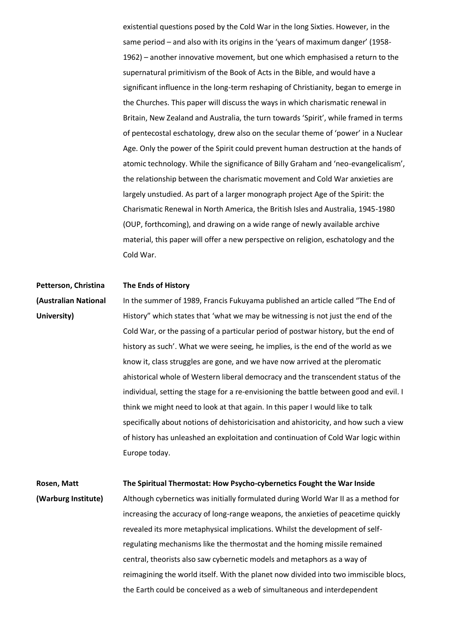existential questions posed by the Cold War in the long Sixties. However, in the same period – and also with its origins in the 'years of maximum danger' (1958- 1962) – another innovative movement, but one which emphasised a return to the supernatural primitivism of the Book of Acts in the Bible, and would have a significant influence in the long-term reshaping of Christianity, began to emerge in the Churches. This paper will discuss the ways in which charismatic renewal in Britain, New Zealand and Australia, the turn towards 'Spirit', while framed in terms of pentecostal eschatology, drew also on the secular theme of 'power' in a Nuclear Age. Only the power of the Spirit could prevent human destruction at the hands of atomic technology. While the significance of Billy Graham and 'neo-evangelicalism', the relationship between the charismatic movement and Cold War anxieties are largely unstudied. As part of a larger monograph project Age of the Spirit: the Charismatic Renewal in North America, the British Isles and Australia, 1945-1980 (OUP, forthcoming), and drawing on a wide range of newly available archive material, this paper will offer a new perspective on religion, eschatology and the Cold War.

#### **Petterson, Christina The Ends of History**

**(Australian National University)** In the summer of 1989, Francis Fukuyama published an article called "The End of History" which states that 'what we may be witnessing is not just the end of the Cold War, or the passing of a particular period of postwar history, but the end of history as such'. What we were seeing, he implies, is the end of the world as we know it, class struggles are gone, and we have now arrived at the pleromatic ahistorical whole of Western liberal democracy and the transcendent status of the individual, setting the stage for a re-envisioning the battle between good and evil. I think we might need to look at that again. In this paper I would like to talk specifically about notions of dehistoricisation and ahistoricity, and how such a view of history has unleashed an exploitation and continuation of Cold War logic within Europe today.

#### **Rosen, Matt The Spiritual Thermostat: How Psycho-cybernetics Fought the War Inside**

**(Warburg Institute)** Although cybernetics was initially formulated during World War II as a method for increasing the accuracy of long-range weapons, the anxieties of peacetime quickly revealed its more metaphysical implications. Whilst the development of selfregulating mechanisms like the thermostat and the homing missile remained central, theorists also saw cybernetic models and metaphors as a way of reimagining the world itself. With the planet now divided into two immiscible blocs, the Earth could be conceived as a web of simultaneous and interdependent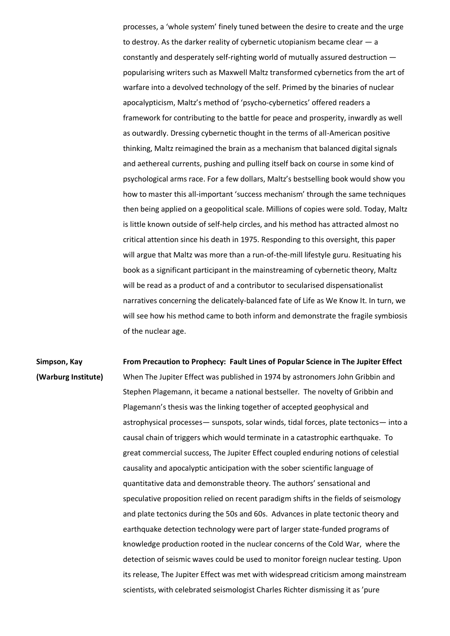processes, a 'whole system' finely tuned between the desire to create and the urge to destroy. As the darker reality of cybernetic utopianism became clear  $-$  a constantly and desperately self-righting world of mutually assured destruction popularising writers such as Maxwell Maltz transformed cybernetics from the art of warfare into a devolved technology of the self. Primed by the binaries of nuclear apocalypticism, Maltz's method of 'psycho-cybernetics' offered readers a framework for contributing to the battle for peace and prosperity, inwardly as well as outwardly. Dressing cybernetic thought in the terms of all-American positive thinking, Maltz reimagined the brain as a mechanism that balanced digital signals and aethereal currents, pushing and pulling itself back on course in some kind of psychological arms race. For a few dollars, Maltz's bestselling book would show you how to master this all-important 'success mechanism' through the same techniques then being applied on a geopolitical scale. Millions of copies were sold. Today, Maltz is little known outside of self-help circles, and his method has attracted almost no critical attention since his death in 1975. Responding to this oversight, this paper will argue that Maltz was more than a run-of-the-mill lifestyle guru. Resituating his book as a significant participant in the mainstreaming of cybernetic theory, Maltz will be read as a product of and a contributor to secularised dispensationalist narratives concerning the delicately-balanced fate of Life as We Know It. In turn, we will see how his method came to both inform and demonstrate the fragile symbiosis of the nuclear age.

**Simpson, Kay (Warburg Institute) From Precaution to Prophecy: Fault Lines of Popular Science in The Jupiter Effect** When The Jupiter Effect was published in 1974 by astronomers John Gribbin and Stephen Plagemann, it became a national bestseller. The novelty of Gribbin and Plagemann's thesis was the linking together of accepted geophysical and astrophysical processes— sunspots, solar winds, tidal forces, plate tectonics— into a causal chain of triggers which would terminate in a catastrophic earthquake. To great commercial success, The Jupiter Effect coupled enduring notions of celestial causality and apocalyptic anticipation with the sober scientific language of quantitative data and demonstrable theory. The authors' sensational and speculative proposition relied on recent paradigm shifts in the fields of seismology and plate tectonics during the 50s and 60s. Advances in plate tectonic theory and earthquake detection technology were part of larger state-funded programs of knowledge production rooted in the nuclear concerns of the Cold War, where the detection of seismic waves could be used to monitor foreign nuclear testing. Upon its release, The Jupiter Effect was met with widespread criticism among mainstream scientists, with celebrated seismologist Charles Richter dismissing it as 'pure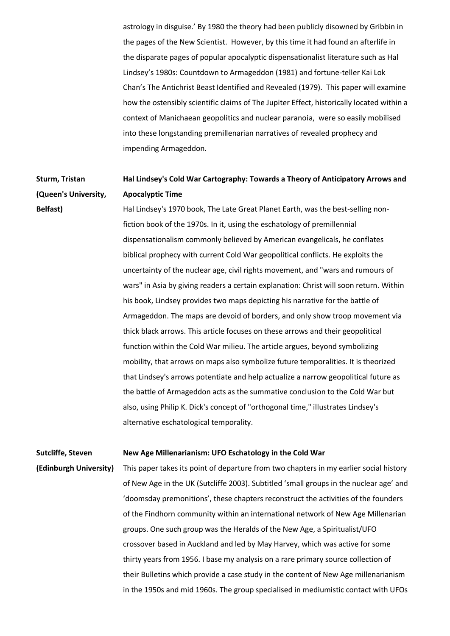astrology in disguise.' By 1980 the theory had been publicly disowned by Gribbin in the pages of the New Scientist. However, by this time it had found an afterlife in the disparate pages of popular apocalyptic dispensationalist literature such as Hal Lindsey's 1980s: Countdown to Armageddon (1981) and fortune-teller Kai Lok Chan's The Antichrist Beast Identified and Revealed (1979). This paper will examine how the ostensibly scientific claims of The Jupiter Effect, historically located within a context of Manichaean geopolitics and nuclear paranoia, were so easily mobilised into these longstanding premillenarian narratives of revealed prophecy and impending Armageddon.

#### **Sturm, Tristan (Queen's University, Hal Lindsey's Cold War Cartography: Towards a Theory of Anticipatory Arrows and Apocalyptic Time**

**Belfast)** Hal Lindsey's 1970 book, The Late Great Planet Earth, was the best-selling nonfiction book of the 1970s. In it, using the eschatology of premillennial dispensationalism commonly believed by American evangelicals, he conflates biblical prophecy with current Cold War geopolitical conflicts. He exploits the uncertainty of the nuclear age, civil rights movement, and "wars and rumours of wars" in Asia by giving readers a certain explanation: Christ will soon return. Within his book, Lindsey provides two maps depicting his narrative for the battle of Armageddon. The maps are devoid of borders, and only show troop movement via thick black arrows. This article focuses on these arrows and their geopolitical function within the Cold War milieu. The article argues, beyond symbolizing mobility, that arrows on maps also symbolize future temporalities. It is theorized that Lindsey's arrows potentiate and help actualize a narrow geopolitical future as the battle of Armageddon acts as the summative conclusion to the Cold War but also, using Philip K. Dick's concept of "orthogonal time," illustrates Lindsey's alternative eschatological temporality.

#### **Sutcliffe, Steven New Age Millenarianism: UFO Eschatology in the Cold War**

**(Edinburgh University)**

This paper takes its point of departure from two chapters in my earlier social history of New Age in the UK (Sutcliffe 2003). Subtitled 'small groups in the nuclear age' and 'doomsday premonitions', these chapters reconstruct the activities of the founders of the Findhorn community within an international network of New Age Millenarian groups. One such group was the Heralds of the New Age, a Spiritualist/UFO crossover based in Auckland and led by May Harvey, which was active for some thirty years from 1956. I base my analysis on a rare primary source collection of their Bulletins which provide a case study in the content of New Age millenarianism in the 1950s and mid 1960s. The group specialised in mediumistic contact with UFOs